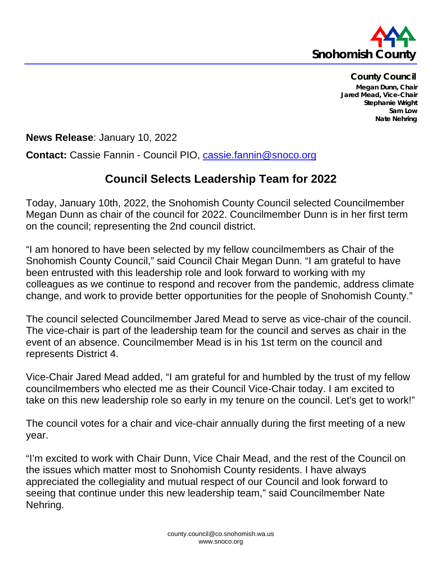

**County Council Megan Dunn, Chair Jared Mead, Vice-Chair Stephanie Wright Sam Low Nate Nehring**

**News Release**: January 10, 2022

**Contact:** Cassie Fannin - Council PIO, [cassie.fannin@snoco.org](mailto:cassie.fannin@snoco.org)

## **Council Selects Leadership Team for 2022**

Today, January 10th, 2022, the Snohomish County Council selected Councilmember Megan Dunn as chair of the council for 2022. Councilmember Dunn is in her first term on the council; representing the 2nd council district.

"I am honored to have been selected by my fellow councilmembers as Chair of the Snohomish County Council," said Council Chair Megan Dunn. "I am grateful to have been entrusted with this leadership role and look forward to working with my colleagues as we continue to respond and recover from the pandemic, address climate change, and work to provide better opportunities for the people of Snohomish County."

The council selected Councilmember Jared Mead to serve as vice-chair of the council. The vice-chair is part of the leadership team for the council and serves as chair in the event of an absence. Councilmember Mead is in his 1st term on the council and represents District 4.

Vice-Chair Jared Mead added, "I am grateful for and humbled by the trust of my fellow councilmembers who elected me as their Council Vice-Chair today. I am excited to take on this new leadership role so early in my tenure on the council. Let's get to work!"

The council votes for a chair and vice-chair annually during the first meeting of a new year.

"I'm excited to work with Chair Dunn, Vice Chair Mead, and the rest of the Council on the issues which matter most to Snohomish County residents. I have always appreciated the collegiality and mutual respect of our Council and look forward to seeing that continue under this new leadership team," said Councilmember Nate Nehring.